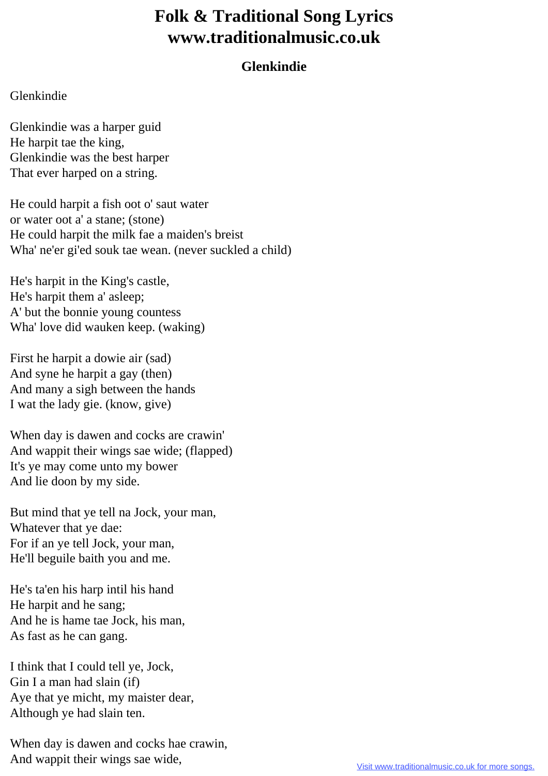## **Folk & Traditional Song Lyrics www.traditionalmusic.co.uk**

## **Glenkindie**

## Glenkindie

Glenkindie was a harper guid He harpit tae the king, Glenkindie was the best harper That ever harped on a string.

He could harpit a fish oot o' saut water or water oot a' a stane; (stone) He could harpit the milk fae a maiden's breist Wha' ne'er gi'ed souk tae wean. (never suckled a child)

He's harpit in the King's castle, He's harpit them a' asleep; A' but the bonnie young countess Wha' love did wauken keep. (waking)

First he harpit a dowie air (sad) And syne he harpit a gay (then) And many a sigh between the hands I wat the lady gie. (know, give)

When day is dawen and cocks are crawin' And wappit their wings sae wide; (flapped) It's ye may come unto my bower And lie doon by my side.

But mind that ye tell na Jock, your man, Whatever that ye dae: For if an ye tell Jock, your man, He'll beguile baith you and me.

He's ta'en his harp intil his hand He harpit and he sang; And he is hame tae Jock, his man, As fast as he can gang.

I think that I could tell ye, Jock, Gin I a man had slain (if) Aye that ye micht, my maister dear, Although ye had slain ten.

When day is dawen and cocks hae crawin, And wappit their wings sae wide,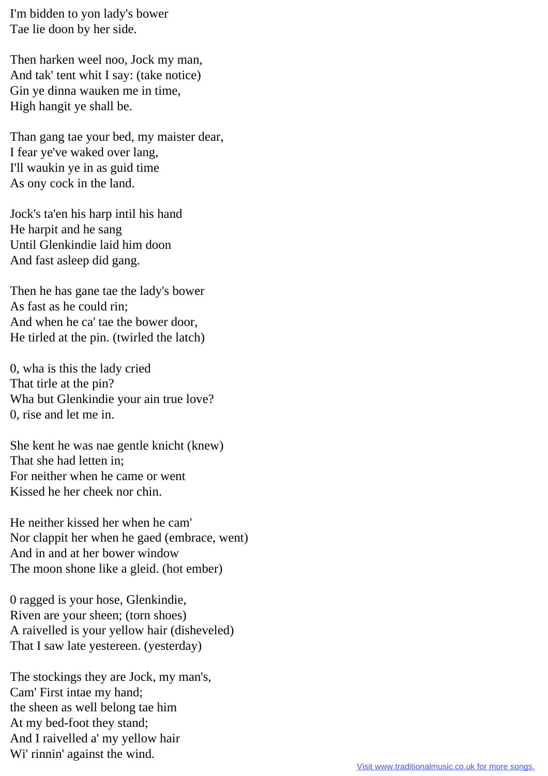I'm bidden to yon lady's bower Tae lie doon by her side.

Then harken weel noo, Jock my man, And tak' tent whit I say: (take notice) Gin ye dinna wauken me in time, High hangit ye shall be.

Than gang tae your bed, my maister dear, I fear ye've waked over lang, I'll waukin ye in as guid time As ony cock in the land.

Jock's ta'en his harp intil his hand He harpit and he sang Until Glenkindie laid him doon And fast asleep did gang.

Then he has gane tae the lady's bower As fast as he could rin; And when he ca' tae the bower door, He tirled at the pin. (twirled the latch)

0, wha is this the lady cried That tirle at the pin? Wha but Glenkindie your ain true love? 0, rise and let me in.

She kent he was nae gentle knicht (knew) That she had letten in; For neither when he came or went Kissed he her cheek nor chin.

He neither kissed her when he cam' Nor clappit her when he gaed (embrace, went) And in and at her bower window The moon shone like a gleid. (hot ember)

0 ragged is your hose, Glenkindie, Riven are your sheen; (torn shoes) A raivelled is your yellow hair (disheveled) That I saw late yestereen. (yesterday)

The stockings they are Jock, my man's, Cam' First intae my hand; the sheen as well belong tae him At my bed-foot they stand; And I raivelled a' my yellow hair Wi' rinnin' against the wind.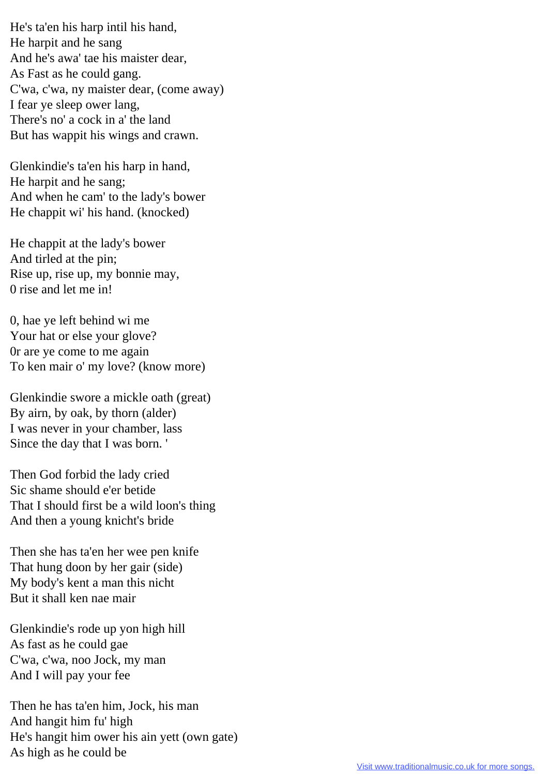He's ta'en his harp intil his hand, He harpit and he sang And he's awa' tae his maister dear, As Fast as he could gang. C'wa, c'wa, ny maister dear, (come away) I fear ye sleep ower lang, There's no' a cock in a' the land But has wappit his wings and crawn.

Glenkindie's ta'en his harp in hand, He harpit and he sang; And when he cam' to the lady's bower He chappit wi' his hand. (knocked)

He chappit at the lady's bower And tirled at the pin; Rise up, rise up, my bonnie may, 0 rise and let me in!

0, hae ye left behind wi me Your hat or else your glove? 0r are ye come to me again To ken mair o' my love? (know more)

Glenkindie swore a mickle oath (great) By airn, by oak, by thorn (alder) I was never in your chamber, lass Since the day that I was born. '

Then God forbid the lady cried Sic shame should e'er betide That I should first be a wild loon's thing And then a young knicht's bride

Then she has ta'en her wee pen knife That hung doon by her gair (side) My body's kent a man this nicht But it shall ken nae mair

Glenkindie's rode up yon high hill As fast as he could gae C'wa, c'wa, noo Jock, my man And I will pay your fee

Then he has ta'en him, Jock, his man And hangit him fu' high He's hangit him ower his ain yett (own gate) As high as he could be